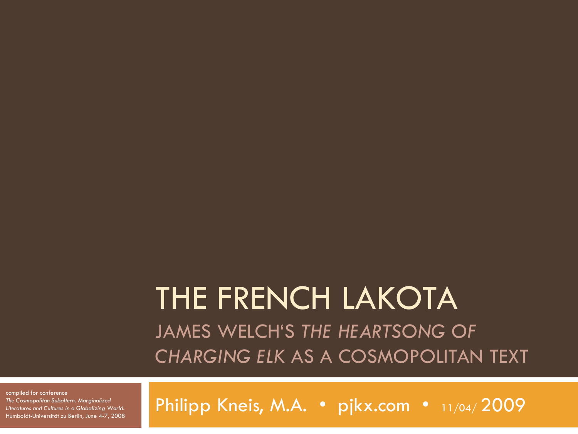### THE FRENCH LAKOTA JAMES WELCH"S *THE HEARTSONG OF CHARGING ELK* AS A COSMOPOLITAN TEXT

compiled for conference *The Cosmopolitan Subaltern. Marginalized Literatures and Cultures in a Globalizing World.*  Humboldt-Universität zu Berlin, June 4-7, 2008

Philipp Kneis, M.A. · pjkx.com · 11/04/2009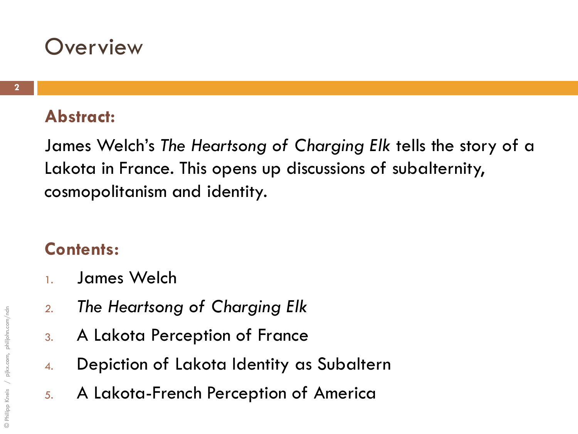### **Overview**

#### **Abstract:**

James Welch"s *The Heartsong of Charging Elk* tells the story of a Lakota in France. This opens up discussions of subalternity, cosmopolitanism and identity.

#### **Contents:**

- 1. James Welch
- *2. The Heartsong of Charging Elk*
- 3. A Lakota Perception of France
- 4. Depiction of Lakota Identity as Subaltern
- 5. A Lakota-French Perception of America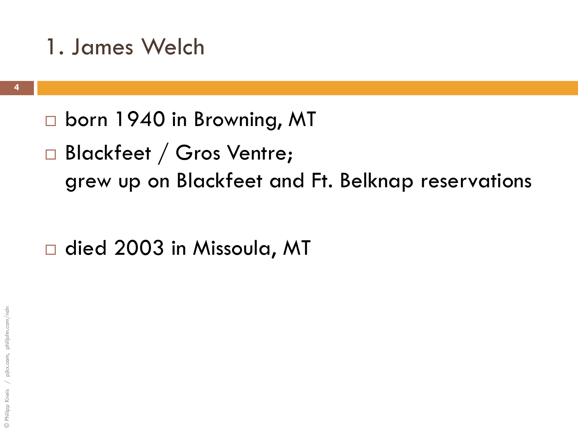- □ born 1940 in Browning, MT
- Blackfeet / Gros Ventre; grew up on Blackfeet and Ft. Belknap reservations

□ died 2003 in Missoula, MT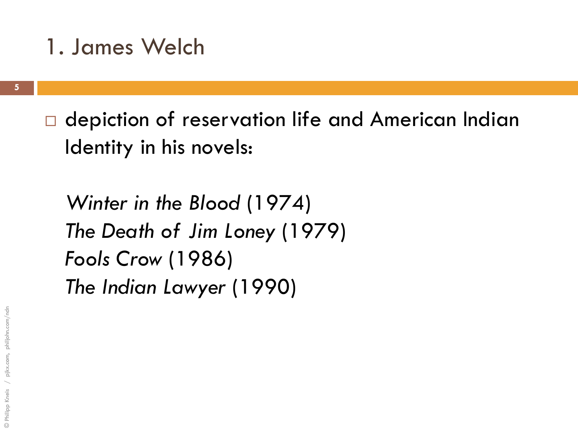□ depiction of reservation life and American Indian Identity in his novels:

*Winter in the Blood* (1974) *The Death of Jim Loney* (1979) *Fools Crow* (1986) *The Indian Lawyer* (1990)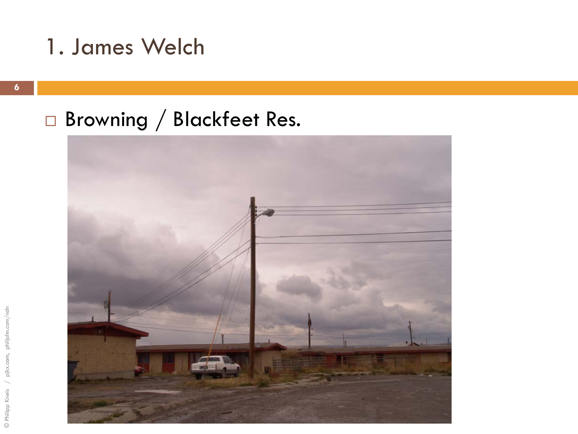### Browning / Blackfeet Res.

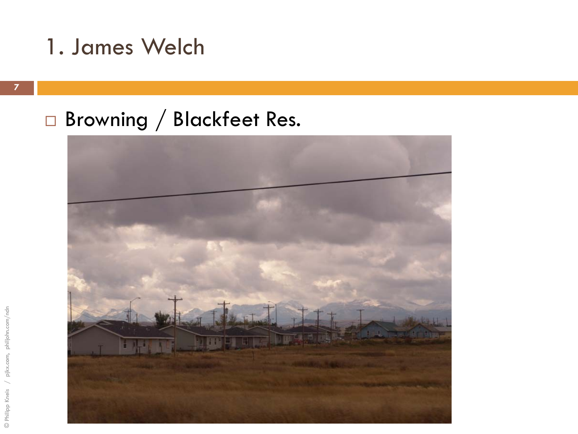### Browning / Blackfeet Res.

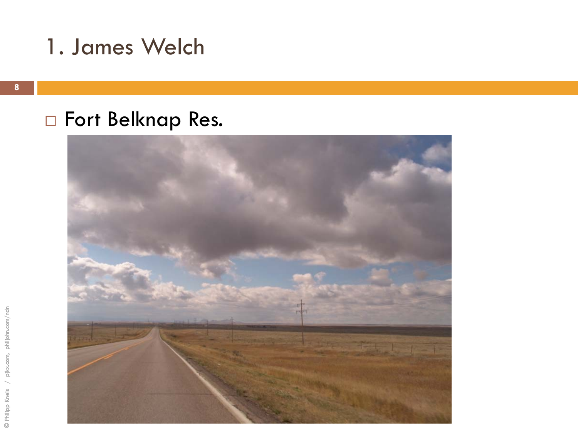### □ Fort Belknap Res.

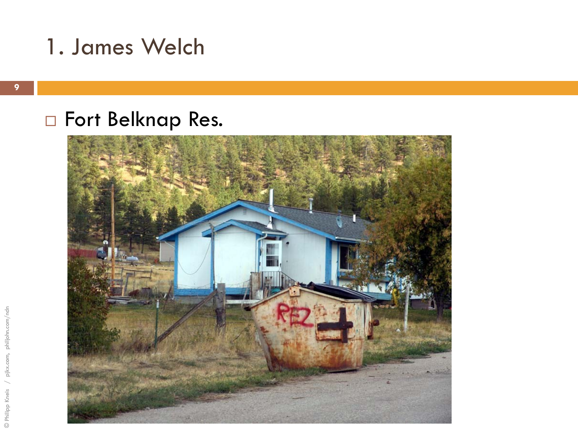### □ Fort Belknap Res.

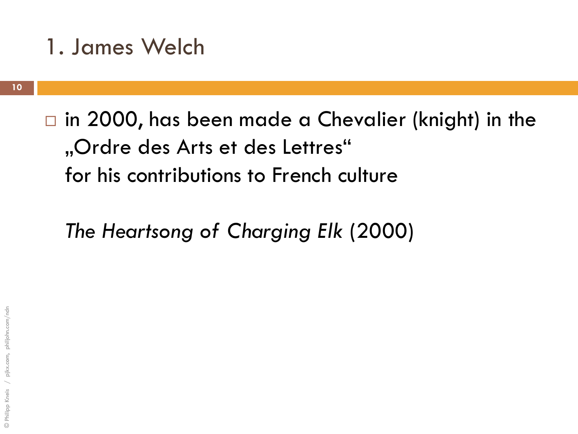$\Box$  in 2000, has been made a Chevalier (knight) in the "Ordre des Arts et des Lettres" for his contributions to French culture

*The Heartsong of Charging Elk* (2000)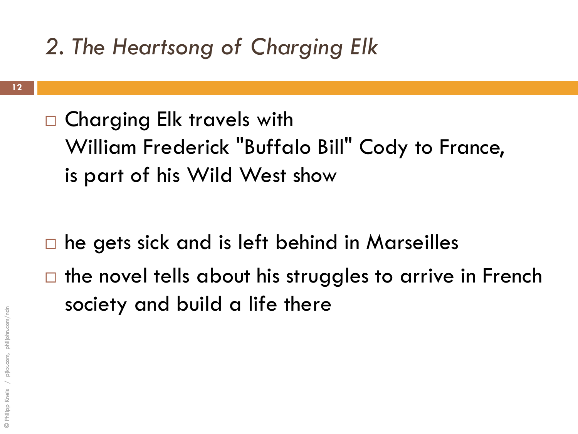□ Charging Elk travels with William Frederick "Buffalo Bill" Cody to France, is part of his Wild West show

- he gets sick and is left behind in Marseilles  $\Box$  the novel tells about his struggles to arrive in French
	- society and build a life there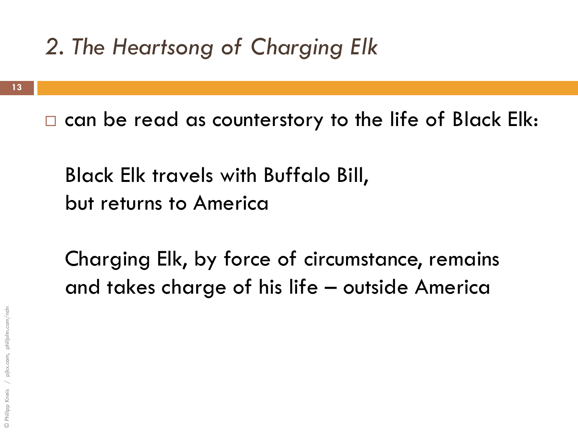$\Box$  can be read as counterstory to the life of Black Elk:

Black Elk travels with Buffalo Bill, but returns to America

Charging Elk, by force of circumstance, remains and takes charge of his life – outside America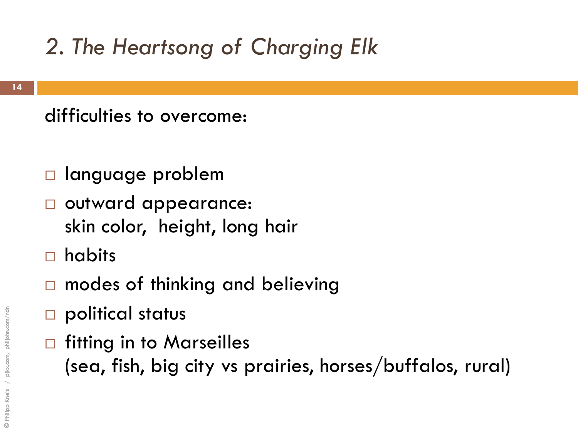difficulties to overcome:

- language problem
- outward appearance: skin color, height, long hair
- habits
- □ modes of thinking and believing
- □ political status
- $\Box$  fitting in to Marseilles (sea, fish, big city vs prairies, horses/buffalos, rural)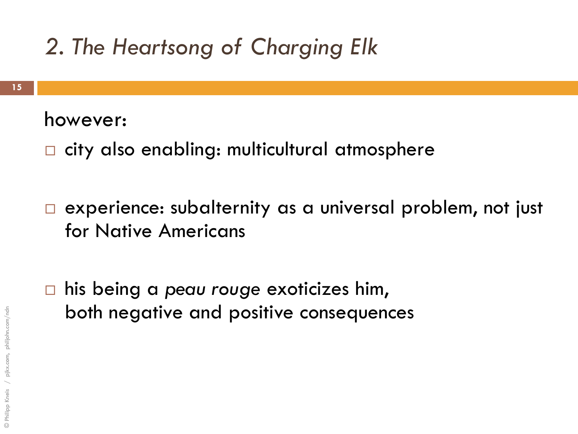#### however:

- □ city also enabling: multicultural atmosphere
- □ experience: subalternity as a universal problem, not just for Native Americans
- his being a *peau rouge* exoticizes him, both negative and positive consequences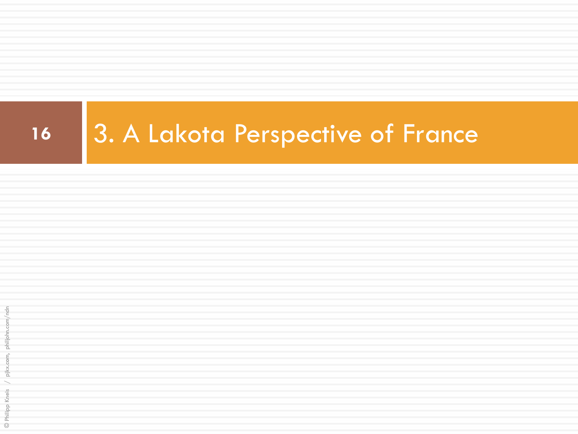# 16 3. A Lakota Perspective of France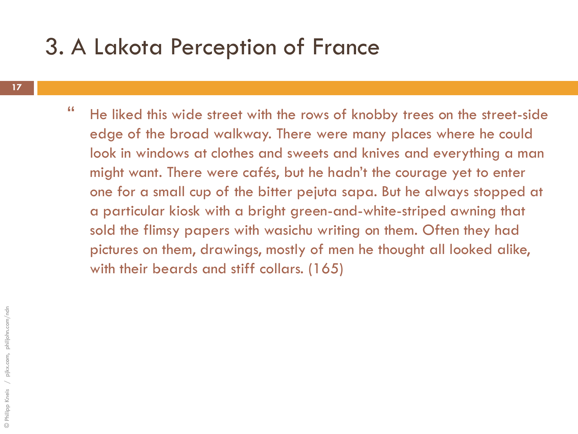### 3. A Lakota Perception of France

- **17**
- " He liked this wide street with the rows of knobby trees on the street-side edge of the broad walkway. There were many places where he could look in windows at clothes and sweets and knives and everything a man might want. There were cafés, but he hadn"t the courage yet to enter one for a small cup of the bitter pejuta sapa. But he always stopped at a particular kiosk with a bright green-and-white-striped awning that sold the flimsy papers with wasichu writing on them. Often they had pictures on them, drawings, mostly of men he thought all looked alike, with their beards and stiff collars. (165)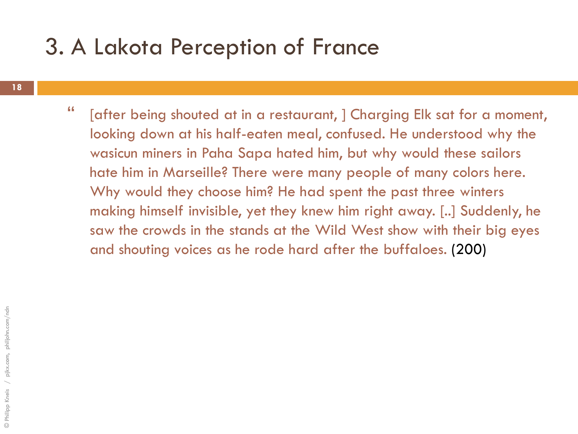### 3. A Lakota Perception of France

**18**

" [after being shouted at in a restaurant, ] Charging Elk sat for a moment, looking down at his half-eaten meal, confused. He understood why the wasicun miners in Paha Sapa hated him, but why would these sailors hate him in Marseille? There were many people of many colors here. Why would they choose him? He had spent the past three winters making himself invisible, yet they knew him right away. [..] Suddenly, he saw the crowds in the stands at the Wild West show with their big eyes and shouting voices as he rode hard after the buffaloes. (200)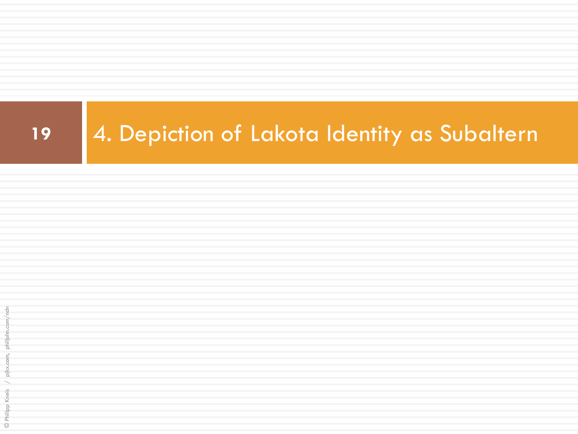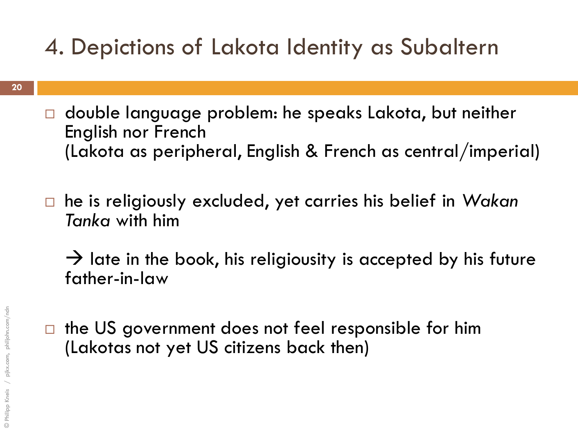### 4. Depictions of Lakota Identity as Subaltern

- □ double language problem: he speaks Lakota, but neither English nor French (Lakota as peripheral, English & French as central/imperial)
- he is religiously excluded, yet carries his belief in *Wakan Tanka* with him
	- $\rightarrow$  late in the book, his religiousity is accepted by his future father-in-law
- $\Box$  the US government does not feel responsible for him (Lakotas not yet US citizens back then)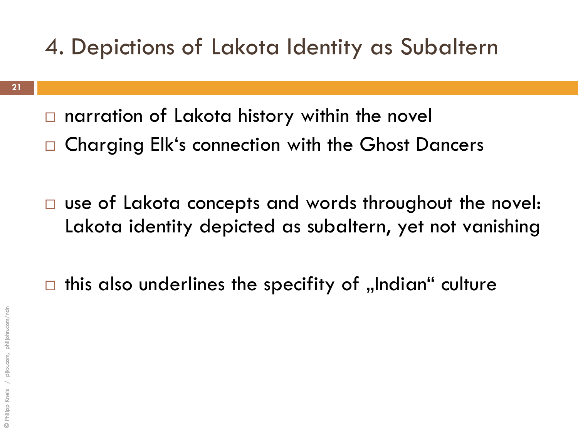### 4. Depictions of Lakota Identity as Subaltern

- $\Box$  narration of Lakota history within the novel
- □ Charging Elk's connection with the Ghost Dancers
- □ use of Lakota concepts and words throughout the novel: Lakota identity depicted as subaltern, yet not vanishing

 $\Box$  this also underlines the specifity of "Indian" culture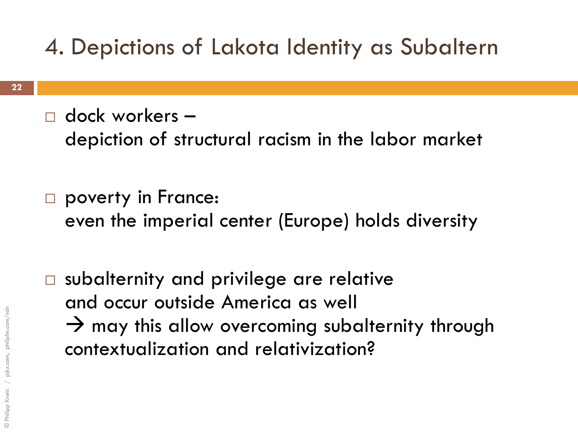### 4. Depictions of Lakota Identity as Subaltern

 $\Box$  dock workers –

depiction of structural racism in the labor market

poverty in France: even the imperial center (Europe) holds diversity

□ subalternity and privilege are relative and occur outside America as well  $\rightarrow$  may this allow overcoming subalternity through contextualization and relativization?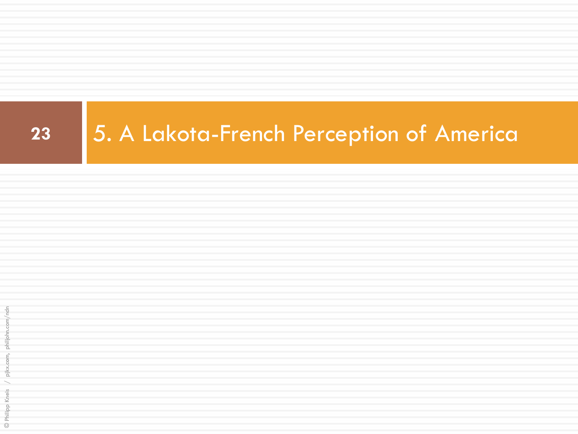# **23** 5. A Lakota-French Perception of America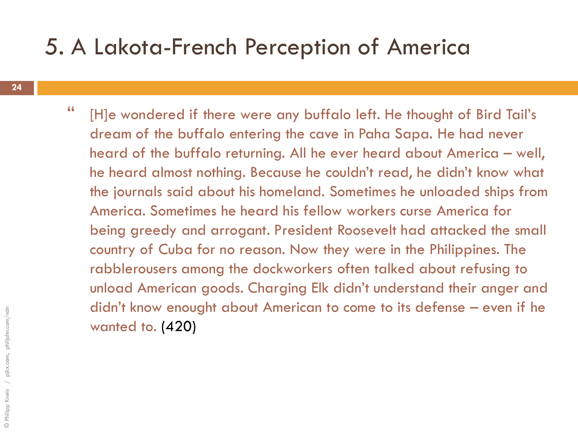### 5. A Lakota-French Perception of America

" [H]e wondered if there were any buffalo left. He thought of Bird Tail"s dream of the buffalo entering the cave in Paha Sapa. He had never heard of the buffalo returning. All he ever heard about America – well, he heard almost nothing. Because he couldn"t read, he didn"t know what the journals said about his homeland. Sometimes he unloaded ships from America. Sometimes he heard his fellow workers curse America for being greedy and arrogant. President Roosevelt had attacked the small country of Cuba for no reason. Now they were in the Philippines. The rabblerousers among the dockworkers often talked about refusing to unload American goods. Charging Elk didn"t understand their anger and didn"t know enought about American to come to its defense – even if he wanted to. (420)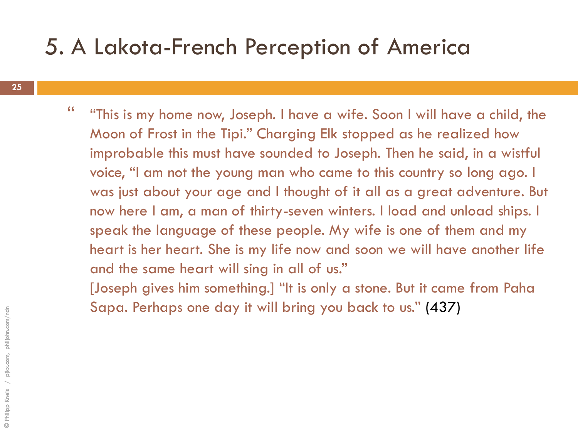### 5. A Lakota-French Perception of America

" "This is my home now, Joseph. I have a wife. Soon I will have a child, the Moon of Frost in the Tipi." Charging Elk stopped as he realized how improbable this must have sounded to Joseph. Then he said, in a wistful voice, "I am not the young man who came to this country so long ago. I was just about your age and I thought of it all as a great adventure. But now here I am, a man of thirty-seven winters. I load and unload ships. I speak the language of these people. My wife is one of them and my heart is her heart. She is my life now and soon we will have another life and the same heart will sing in all of us."

[Joseph gives him something.] "It is only a stone. But it came from Paha Sapa. Perhaps one day it will bring you back to us." (437)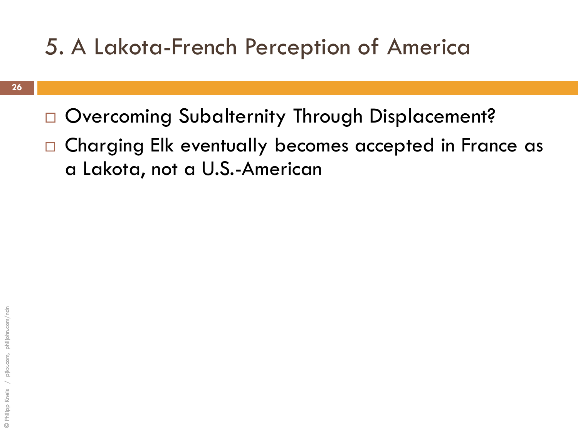### 5. A Lakota-French Perception of America

- □ Overcoming Subalternity Through Displacement?
- □ Charging Elk eventually becomes accepted in France as a Lakota, not a U.S.-American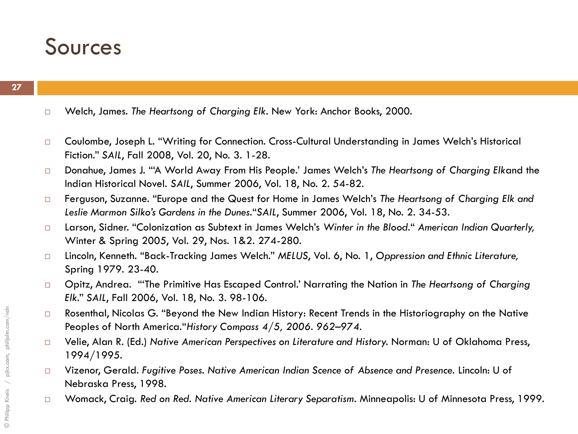### Sources

- Welch, James. *The Heartsong of Charging Elk*. New York: Anchor Books, 2000.
- □ Coulombe, Joseph L. "Writing for Connection. Cross-Cultural Understanding in James Welch's Historical Fiction." *SAIL*, Fall 2008, Vol. 20, No. 3. 1-28.
- Donahue, James J. ""A World Away From His People." James Welch"s *The Heartsong of Charging Elk*and the Indian Historical Novel. *SAIL*, Summer 2006, Vol. 18, No. 2. 54-82.
- Ferguson, Suzanne. "Europe and the Quest for Home in James Welch"s *The Heartsong of Charging Elk and Leslie Marmon Silko's Gardens in the Dunes.*"*SAIL*, Summer 2006, Vol. 18, No. 2. 34-53.
- Larson, Sidner. "Colonization as Subtext in James Welch"s *Winter in the Blood*." *American Indian Quarterly,*  Winter & Spring 2005, Vol. 29, Nos. 1&2. 274-280.
- Lincoln, Kenneth. "Back-Tracking James Welch." *MELUS*, Vol. 6, No. 1, *Oppression and Ethnic Literature,*  Spring 1979. 23-40.
- Opitz, Andrea. ""The Primitive Has Escaped Control." Narrating the Nation in *The Heartsong of Charging Elk*." *SAIL*, Fall 2006, Vol. 18, No. 3. 98-106.
- □ Rosenthal, Nicolas G. "Beyond the New Indian History: Recent Trends in the Historiography on the Native Peoples of North America."*History Compass 4/5, 2006. 962–974.*
- Velie, Alan R. (Ed.) *Native American Perspectives on Literature and History.* Norman: U of Oklahoma Press, 1994/1995.
- Vizenor, Gerald. *Fugitive Poses. Native American Indian Scence of Absence and Presence.* Lincoln: U of Nebraska Press, 1998.
- Womack, Craig. *Red on Red. Native American Literary Separatism.* Minneapolis: U of Minnesota Press, 1999.